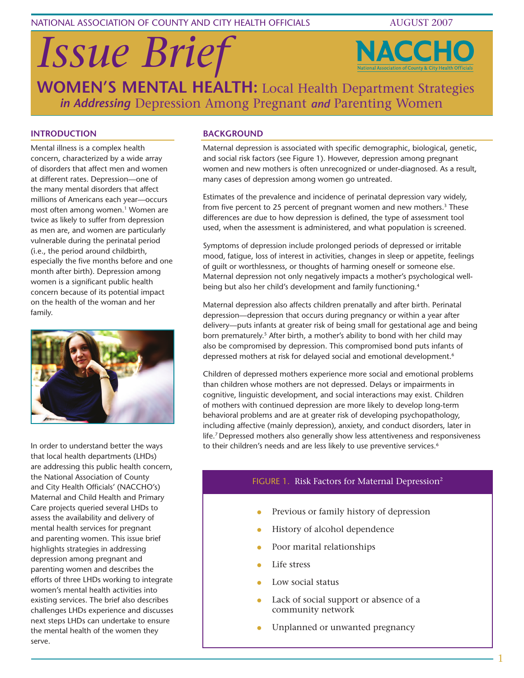NATIONAL ASSOCIATION OF COUNTY AND CITY HEALTH OFFICIALS AUGUST 2007

*Issue Brief*



**WOMEN'S MENTAL HEALTH:**  Local Health Department Strategies *in Addressing* Depression Among Pregnant *and* Parenting Women

### **Introduction**

Mental illness is a complex health concern, characterized by a wide array of disorders that affect men and women at different rates. Depression—one of the many mental disorders that affect millions of Americans each year—occurs most often among women.<sup>1</sup> Women are twice as likely to suffer from depression as men are, and women are particularly vulnerable during the perinatal period (i.e., the period around childbirth, especially the five months before and one month after birth). Depression among women is a significant public health concern because of its potential impact on the health of the woman and her family.



In order to understand better the ways that local health departments (LHDs) are addressing this public health concern, the National Association of County and City Health Officials' (NACCHO's) Maternal and Child Health and Primary Care projects queried several LHDs to assess the availability and delivery of mental health services for pregnant and parenting women. This issue brief highlights strategies in addressing depression among pregnant and parenting women and describes the efforts of three LHDs working to integrate women's mental health activities into existing services. The brief also describes challenges LHDs experience and discusses next steps LHDs can undertake to ensure the mental health of the women they serve.

### **BACKGROUND**

Maternal depression is associated with specific demographic, biological, genetic, and social risk factors (see Figure 1). However, depression among pregnant women and new mothers is often unrecognized or under-diagnosed. As a result, many cases of depression among women go untreated.

Estimates of the prevalence and incidence of perinatal depression vary widely, from five percent to 25 percent of pregnant women and new mothers.<sup>3</sup> These differences are due to how depression is defined, the type of assessment tool used, when the assessment is administered, and what population is screened.

Symptoms of depression include prolonged periods of depressed or irritable mood, fatigue, loss of interest in activities, changes in sleep or appetite, feelings of guilt or worthlessness, or thoughts of harming oneself or someone else. Maternal depression not only negatively impacts a mother's psychological wellbeing but also her child's development and family functioning.4

Maternal depression also affects children prenatally and after birth. Perinatal depression—depression that occurs during pregnancy or within a year after delivery—puts infants at greater risk of being small for gestational age and being born prematurely.<sup>5</sup> After birth, a mother's ability to bond with her child may also be compromised by depression. This compromised bond puts infants of depressed mothers at risk for delayed social and emotional development.<sup>6</sup>

Children of depressed mothers experience more social and emotional problems than children whose mothers are not depressed. Delays or impairments in cognitive, linguistic development, and social interactions may exist. Children of mothers with continued depression are more likely to develop long-term behavioral problems and are at greater risk of developing psychopathology, including affective (mainly depression), anxiety, and conduct disorders, later in life.7 Depressed mothers also generally show less attentiveness and responsiveness to their children's needs and are less likely to use preventive services.<sup>6</sup>

### FIGURE 1. Risk Factors for Maternal Depression<sup>2</sup>

- Previous or family history of depression
- History of alcohol dependence
- Poor marital relationships
- Life stress
- Low social status
- Lack of social support or absence of a community network
- Unplanned or unwanted pregnancy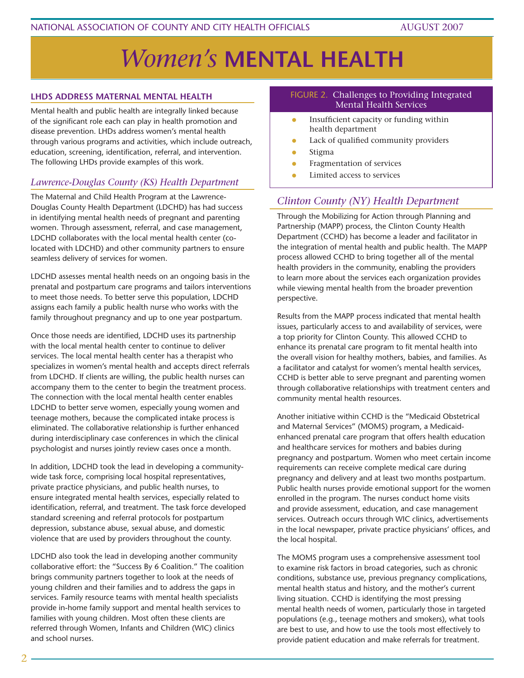# *Women's* **MENTAL HEALTH**

### **LHDs Address Maternal Mental Health**

Mental health and public health are integrally linked because of the significant role each can play in health promotion and disease prevention. LHDs address women's mental health through various programs and activities, which include outreach, education, screening, identification, referral, and intervention. The following LHDs provide examples of this work.

### *Lawrence-Douglas County (KS) Health Department*

The Maternal and Child Health Program at the Lawrence-Douglas County Health Department (LDCHD) has had success in identifying mental health needs of pregnant and parenting women. Through assessment, referral, and case management, LDCHD collaborates with the local mental health center (colocated with LDCHD) and other community partners to ensure seamless delivery of services for women.

LDCHD assesses mental health needs on an ongoing basis in the prenatal and postpartum care programs and tailors interventions to meet those needs. To better serve this population, LDCHD assigns each family a public health nurse who works with the family throughout pregnancy and up to one year postpartum.

Once those needs are identified, LDCHD uses its partnership with the local mental health center to continue to deliver services. The local mental health center has a therapist who specializes in women's mental health and accepts direct referrals from LDCHD. If clients are willing, the public health nurses can accompany them to the center to begin the treatment process. The connection with the local mental health center enables LDCHD to better serve women, especially young women and teenage mothers, because the complicated intake process is eliminated. The collaborative relationship is further enhanced during interdisciplinary case conferences in which the clinical psychologist and nurses jointly review cases once a month.

In addition, LDCHD took the lead in developing a communitywide task force, comprising local hospital representatives, private practice physicians, and public health nurses, to ensure integrated mental health services, especially related to identification, referral, and treatment. The task force developed standard screening and referral protocols for postpartum depression, substance abuse, sexual abuse, and domestic violence that are used by providers throughout the county.

LDCHD also took the lead in developing another community collaborative effort: the "Success By 6 Coalition." The coalition brings community partners together to look at the needs of young children and their families and to address the gaps in services. Family resource teams with mental health specialists provide in-home family support and mental health services to families with young children. Most often these clients are referred through Women, Infants and Children (WIC) clinics and school nurses.

### FIGURE 2. Challenges to Providing Integrated Mental Health Services

- Insufficient capacity or funding within health department
- **Lack of qualified community providers**
- $\bullet$  Stigma
- **•** Fragmentation of services
- Limited access to services

### *Clinton County (NY) Health Department*

Through the Mobilizing for Action through Planning and Partnership (MAPP) process, the Clinton County Health Department (CCHD) has become a leader and facilitator in the integration of mental health and public health. The MAPP process allowed CCHD to bring together all of the mental health providers in the community, enabling the providers to learn more about the services each organization provides while viewing mental health from the broader prevention perspective.

Results from the MAPP process indicated that mental health issues, particularly access to and availability of services, were a top priority for Clinton County. This allowed CCHD to enhance its prenatal care program to fit mental health into the overall vision for healthy mothers, babies, and families. As a facilitator and catalyst for women's mental health services, CCHD is better able to serve pregnant and parenting women through collaborative relationships with treatment centers and community mental health resources.

Another initiative within CCHD is the "Medicaid Obstetrical and Maternal Services" (MOMS) program, a Medicaidenhanced prenatal care program that offers health education and healthcare services for mothers and babies during pregnancy and postpartum. Women who meet certain income requirements can receive complete medical care during pregnancy and delivery and at least two months postpartum. Public health nurses provide emotional support for the women enrolled in the program. The nurses conduct home visits and provide assessment, education, and case management services. Outreach occurs through WIC clinics, advertisements in the local newspaper, private practice physicians' offices, and the local hospital.

The MOMS program uses a comprehensive assessment tool to examine risk factors in broad categories, such as chronic conditions, substance use, previous pregnancy complications, mental health status and history, and the mother's current living situation. CCHD is identifying the most pressing mental health needs of women, particularly those in targeted populations (e.g., teenage mothers and smokers), what tools are best to use, and how to use the tools most effectively to provide patient education and make referrals for treatment.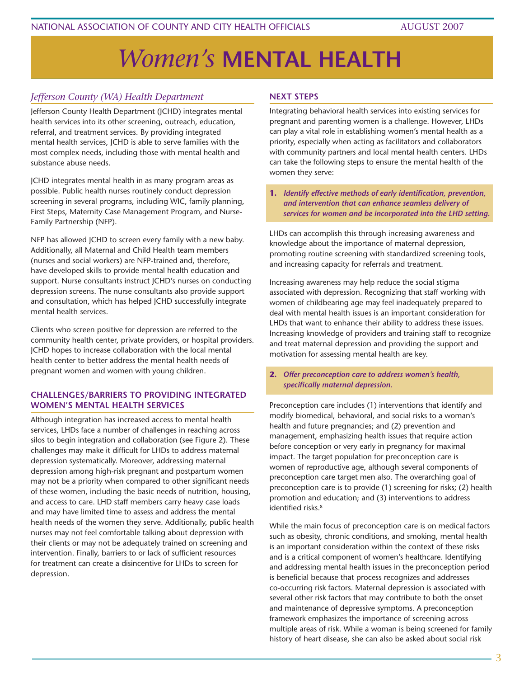# *Women's* **MENTAL HEALTH**

### *Jefferson County (WA) Health Department*

Jefferson County Health Department (JCHD) integrates mental health services into its other screening, outreach, education, referral, and treatment services. By providing integrated mental health services, JCHD is able to serve families with the most complex needs, including those with mental health and substance abuse needs.

JCHD integrates mental health in as many program areas as possible. Public health nurses routinely conduct depression screening in several programs, including WIC, family planning, First Steps, Maternity Case Management Program, and Nurse-Family Partnership (NFP).

NFP has allowed JCHD to screen every family with a new baby. Additionally, all Maternal and Child Health team members (nurses and social workers) are NFP-trained and, therefore, have developed skills to provide mental health education and support. Nurse consultants instruct JCHD's nurses on conducting depression screens. The nurse consultants also provide support and consultation, which has helped JCHD successfully integrate mental health services.

Clients who screen positive for depression are referred to the community health center, private providers, or hospital providers. JCHD hopes to increase collaboration with the local mental health center to better address the mental health needs of pregnant women and women with young children.

### **Challenges/Barriers to Providing Integrated Women's Mental Health Services**

Although integration has increased access to mental health services, LHDs face a number of challenges in reaching across silos to begin integration and collaboration (see Figure 2). These challenges may make it difficult for LHDs to address maternal depression systematically. Moreover, addressing maternal depression among high-risk pregnant and postpartum women may not be a priority when compared to other significant needs of these women, including the basic needs of nutrition, housing, and access to care. LHD staff members carry heavy case loads and may have limited time to assess and address the mental health needs of the women they serve. Additionally, public health nurses may not feel comfortable talking about depression with their clients or may not be adequately trained on screening and intervention. Finally, barriers to or lack of sufficient resources for treatment can create a disincentive for LHDs to screen for depression.

### **Next Steps**

Integrating behavioral health services into existing services for pregnant and parenting women is a challenge. However, LHDs can play a vital role in establishing women's mental health as a priority, especially when acting as facilitators and collaborators with community partners and local mental health centers. LHDs can take the following steps to ensure the mental health of the women they serve:

**1.** *Identify effective methods of early identification, prevention, and intervention that can enhance seamless delivery of services for women and be incorporated into the LHD setting.* 

LHDs can accomplish this through increasing awareness and knowledge about the importance of maternal depression, promoting routine screening with standardized screening tools, and increasing capacity for referrals and treatment.

Increasing awareness may help reduce the social stigma associated with depression. Recognizing that staff working with women of childbearing age may feel inadequately prepared to deal with mental health issues is an important consideration for LHDs that want to enhance their ability to address these issues. Increasing knowledge of providers and training staff to recognize and treat maternal depression and providing the support and motivation for assessing mental health are key.

**2.** *Offer preconception care to address women's health, specifically maternal depression.* 

Preconception care includes (1) interventions that identify and modify biomedical, behavioral, and social risks to a woman's health and future pregnancies; and (2) prevention and management, emphasizing health issues that require action before conception or very early in pregnancy for maximal impact. The target population for preconception care is women of reproductive age, although several components of preconception care target men also. The overarching goal of preconception care is to provide (1) screening for risks; (2) health promotion and education; and (3) interventions to address identified risks<sup>8</sup>

While the main focus of preconception care is on medical factors such as obesity, chronic conditions, and smoking, mental health is an important consideration within the context of these risks and is a critical component of women's healthcare. Identifying and addressing mental health issues in the preconception period is beneficial because that process recognizes and addresses co-occurring risk factors. Maternal depression is associated with several other risk factors that may contribute to both the onset and maintenance of depressive symptoms. A preconception framework emphasizes the importance of screening across multiple areas of risk. While a woman is being screened for family history of heart disease, she can also be asked about social risk